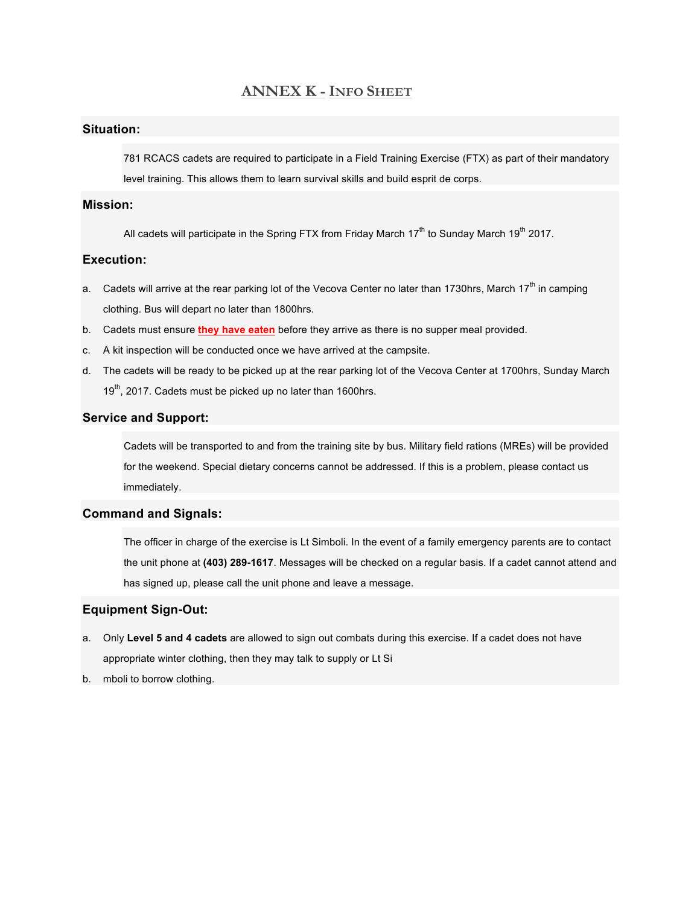## **ANNEX K - INFO SHEET**

## **Situation:**

781 RCACS cadets are required to participate in a Field Training Exercise (FTX) as part of their mandatory level training. This allows them to learn survival skills and build esprit de corps.

#### **Mission:**

All cadets will participate in the Spring FTX from Friday March  $17<sup>th</sup>$  to Sunday March  $19<sup>th</sup>$  2017.

#### **Execution:**

- a. Cadets will arrive at the rear parking lot of the Vecova Center no later than 1730hrs, March 17<sup>th</sup> in camping clothing. Bus will depart no later than 1800hrs.
- b. Cadets must ensure **they have eaten** before they arrive as there is no supper meal provided.
- c. A kit inspection will be conducted once we have arrived at the campsite.
- d. The cadets will be ready to be picked up at the rear parking lot of the Vecova Center at 1700hrs, Sunday March 19<sup>th</sup>, 2017. Cadets must be picked up no later than 1600hrs.

## **Service and Support:**

Cadets will be transported to and from the training site by bus. Military field rations (MREs) will be provided for the weekend. Special dietary concerns cannot be addressed. If this is a problem, please contact us immediately.

#### **Command and Signals:**

The officer in charge of the exercise is Lt Simboli. In the event of a family emergency parents are to contact the unit phone at **(403) 289-1617**. Messages will be checked on a regular basis. If a cadet cannot attend and has signed up, please call the unit phone and leave a message.

### **Equipment Sign-Out:**

- a. Only **Level 5 and 4 cadets** are allowed to sign out combats during this exercise. If a cadet does not have appropriate winter clothing, then they may talk to supply or Lt Si
- b. mboli to borrow clothing.